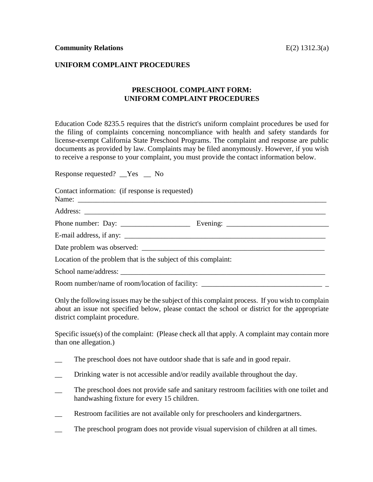## **UNIFORM COMPLAINT PROCEDURES**

## **PRESCHOOL COMPLAINT FORM: UNIFORM COMPLAINT PROCEDURES**

Education Code 8235.5 requires that the district's uniform complaint procedures be used for the filing of complaints concerning noncompliance with health and safety standards for license-exempt California State Preschool Programs. The complaint and response are public documents as provided by law. Complaints may be filed anonymously. However, if you wish to receive a response to your complaint, you must provide the contact information below.

Response requested? \_\_Yes \_\_ No

Contact information: (if response is requested) Name: \_\_\_\_\_\_\_\_\_\_\_\_\_\_\_\_\_\_\_\_\_\_\_\_\_\_\_\_\_\_\_\_\_\_\_\_\_\_\_\_\_\_\_\_\_\_\_\_\_\_\_\_\_\_\_\_\_\_\_\_\_\_\_\_\_\_\_\_ Address: \_\_\_\_\_\_\_\_\_\_\_\_\_\_\_\_\_\_\_\_\_\_\_\_\_\_\_\_\_\_\_\_\_\_\_\_\_\_\_\_\_\_\_\_\_\_\_\_\_\_\_\_\_\_\_\_\_\_\_\_\_\_\_\_\_\_ Phone number: Day: \_\_\_\_\_\_\_\_\_\_\_\_\_\_\_\_\_\_\_ Evening: \_\_\_\_\_\_\_\_\_\_\_\_\_\_\_\_\_\_\_\_\_\_\_\_\_\_\_\_  $E$ -mail address, if any: Date problem was observed: Location of the problem that is the subject of this complaint: School name/address: \_\_\_\_\_\_\_\_\_\_\_\_\_\_\_\_\_\_\_\_\_\_\_\_\_\_\_\_\_\_\_\_\_\_\_\_\_\_\_\_\_\_\_\_\_\_\_\_\_\_\_\_\_\_\_\_

Room number/name of room/location of facility: \_\_\_\_\_\_\_\_\_\_\_\_\_\_\_\_\_\_\_\_\_\_\_\_\_\_\_\_\_\_\_\_\_

Only the following issues may be the subject of this complaint process. If you wish to complain about an issue not specified below, please contact the school or district for the appropriate district complaint procedure.

Specific issue(s) of the complaint: (Please check all that apply. A complaint may contain more than one allegation.)

- The preschool does not have outdoor shade that is safe and in good repair.
- Drinking water is not accessible and/or readily available throughout the day.
- The preschool does not provide safe and sanitary restroom facilities with one toilet and handwashing fixture for every 15 children.
- \_\_ Restroom facilities are not available only for preschoolers and kindergartners.
- The preschool program does not provide visual supervision of children at all times.